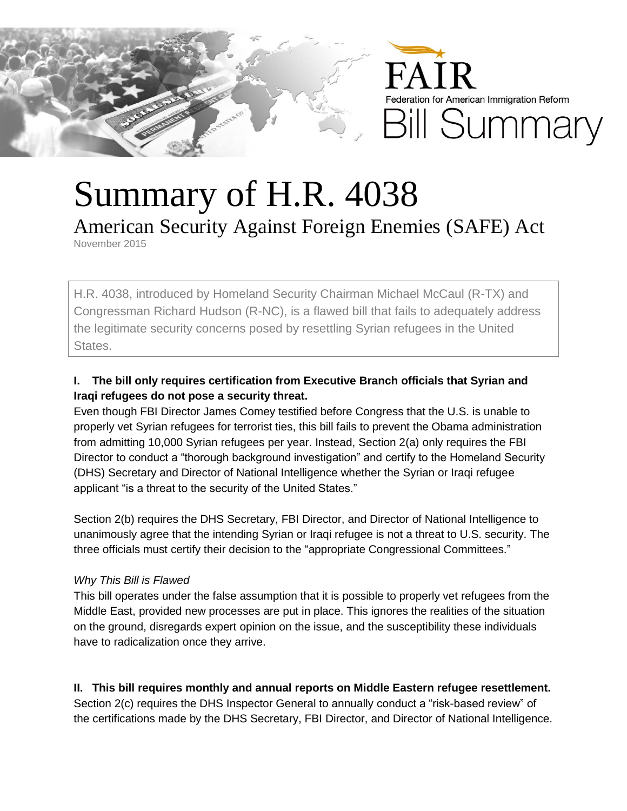

## Summary of H.R. 4038

American Security Against Foreign Enemies (SAFE) Act

November 2015

H.R. 4038, introduced by Homeland Security Chairman Michael McCaul (R-TX) and Congressman Richard Hudson (R-NC), is a flawed bill that fails to adequately address the legitimate security concerns posed by resettling Syrian refugees in the United States.

## **I. The bill only requires certification from Executive Branch officials that Syrian and Iraqi refugees do not pose a security threat.**

Even though FBI Director James Comey testified before Congress that the U.S. is unable to properly vet Syrian refugees for terrorist ties, this bill fails to prevent the Obama administration from admitting 10,000 Syrian refugees per year. Instead, Section 2(a) only requires the FBI Director to conduct a "thorough background investigation" and certify to the Homeland Security (DHS) Secretary and Director of National Intelligence whether the Syrian or Iraqi refugee applicant "is a threat to the security of the United States."

Section 2(b) requires the DHS Secretary, FBI Director, and Director of National Intelligence to unanimously agree that the intending Syrian or Iraqi refugee is not a threat to U.S. security. The three officials must certify their decision to the "appropriate Congressional Committees."

## *Why This Bill is Flawed*

This bill operates under the false assumption that it is possible to properly vet refugees from the Middle East, provided new processes are put in place. This ignores the realities of the situation on the ground, disregards expert opinion on the issue, and the susceptibility these individuals have to radicalization once they arrive.

**II. This bill requires monthly and annual reports on Middle Eastern refugee resettlement.** Section 2(c) requires the DHS Inspector General to annually conduct a "risk-based review" of the certifications made by the DHS Secretary, FBI Director, and Director of National Intelligence.